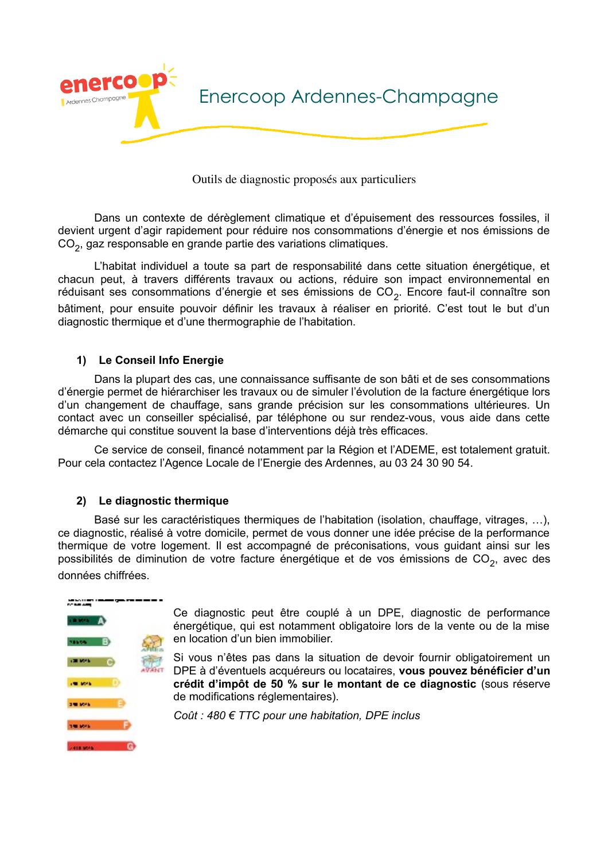

Outils de diagnostic proposés aux particuliers

Dans un contexte de dérèglement climatique et d'épuisement des ressources fossiles, il devient urgent d'agir rapidement pour réduire nos consommations d'énergie et nos émissions de CO<sub>2</sub>, gaz responsable en grande partie des variations climatiques.

L'habitat individuel a toute sa part de responsabilité dans cette situation énergétique, et chacun peut, à travers différents travaux ou actions, réduire son impact environnemental en réduisant ses consommations d'énergie et ses émissions de CO<sub>2</sub>. Encore faut-il connaître son bâtiment, pour ensuite pouvoir définir les travaux à réaliser en priorité. C'est tout le but d'un diagnostic thermique et d'une thermographie de l'habitation.

## 1) Le Conseil Info Energie

Dans la plupart des cas, une connaissance suffisante de son bâti et de ses consommations d'énergie permet de hiérarchiser les travaux ou de simuler l'évolution de la facture énergétique lors d'un changement de chauffage, sans grande précision sur les consommations ultérieures. Un contact avec un conseiller spécialisé, par téléphone ou sur rendez-vous, vous aide dans cette démarche qui constitue souvent la base d'interventions déjà très efficaces.

Ce service de conseil, financé notamment par la Région et l'ADEME, est totalement gratuit. Pour cela contactez l'Agence Locale de l'Energie des Ardennes, au 03 24 30 90 54.

## 2) Le diagnostic thermique

Basé sur les caractéristiques thermiques de l'habitation (isolation, chauffage, vitrages, ...), ce diagnostic, réalisé à votre domicile, permet de vous donner une idée précise de la performance thermique de votre logement. Il est accompagné de préconisations, vous guidant ainsi sur les possibilités de diminution de votre facture énergétique et de vos émissions de  $CO<sub>2</sub>$ , avec des données chiffrées.



Ce diagnostic peut être couplé à un DPE, diagnostic de performance énergétique, qui est notamment obligatoire lors de la vente ou de la mise en location d'un bien immobilier.

Si vous n'êtes pas dans la situation de devoir fournir obligatoirement un DPE à d'éventuels acquéreurs ou locataires, vous pouvez bénéficier d'un crédit d'impôt de 50 % sur le montant de ce diagnostic (sous réserve de modifications réglementaires).

Coût : 480 € TTC pour une habitation, DPE inclus